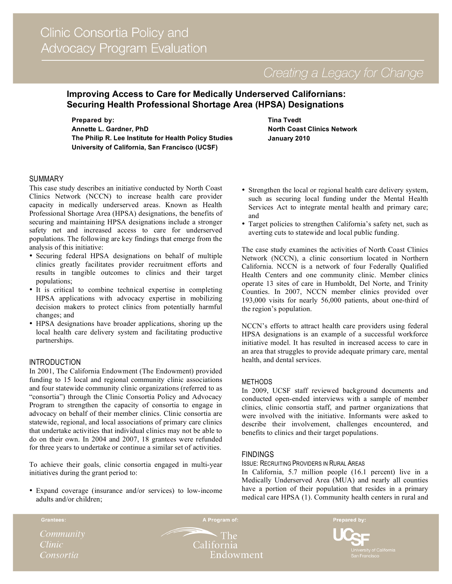# **Improving Access to Care for Medically Underserved Californians: Securing Health Professional Shortage Area (HPSA) Designations**

**Prepared by: Annette L. Gardner, PhD The Philip R. Lee Institute for Health Policy Studies University of California, San Francisco (UCSF)**

**Tina Tvedt North Coast Clinics Network January 2010**

## SUMMARY

This case study describes an initiative conducted by North Coast Clinics Network (NCCN) to increase health care provider capacity in medically underserved areas. Known as Health Professional Shortage Area (HPSA) designations, the benefits of securing and maintaining HPSA designations include a stronger safety net and increased access to care for underserved populations. The following are key findings that emerge from the analysis of this initiative:

- Securing federal HPSA designations on behalf of multiple clinics greatly facilitates provider recruitment efforts and results in tangible outcomes to clinics and their target populations;
- It is critical to combine technical expertise in completing HPSA applications with advocacy expertise in mobilizing decision makers to protect clinics from potentially harmful changes; and
- HPSA designations have broader applications, shoring up the local health care delivery system and facilitating productive partnerships.

### INTRODUCTION

In 2001, The California Endowment (The Endowment) provided funding to 15 local and regional community clinic associations and four statewide community clinic organizations (referred to as "consortia") through the Clinic Consortia Policy and Advocacy Program to strengthen the capacity of consortia to engage in advocacy on behalf of their member clinics. Clinic consortia are statewide, regional, and local associations of primary care clinics that undertake activities that individual clinics may not be able to do on their own. In 2004 and 2007, 18 grantees were refunded for three years to undertake or continue a similar set of activities.

To achieve their goals, clinic consortia engaged in multi-year initiatives during the grant period to:

• Expand coverage (insurance and/or services) to low-income adults and/or children;

- Strengthen the local or regional health care delivery system, such as securing local funding under the Mental Health Services Act to integrate mental health and primary care; and
- Target policies to strengthen California's safety net, such as averting cuts to statewide and local public funding.

The case study examines the activities of North Coast Clinics Network (NCCN), a clinic consortium located in Northern California. NCCN is a network of four Federally Qualified Health Centers and one community clinic. Member clinics operate 13 sites of care in Humboldt, Del Norte, and Trinity Counties. In 2007, NCCN member clinics provided over 193,000 visits for nearly 56,000 patients, about one-third of the region's population.

NCCN's efforts to attract health care providers using federal HPSA designations is an example of a successful workforce initiative model. It has resulted in increased access to care in an area that struggles to provide adequate primary care, mental health, and dental services.

### METHODS

In 2009, UCSF staff reviewed background documents and conducted open-ended interviews with a sample of member clinics, clinic consortia staff, and partner organizations that were involved with the initiative. Informants were asked to describe their involvement, challenges encountered, and benefits to clinics and their target populations.

## **FINDINGS**

#### ISSUE: RECRUITING PROVIDERS IN RURAL AREAS

In California, 5.7 million people (16.1 percent) live in a Medically Underserved Area (MUA) and nearly all counties have a portion of their population that resides in a primary medical care HPSA (1). Community health centers in rural and

*Clinic* Consortia

 $\cdot$  The California Endowment

A Program of:

Prepared by:

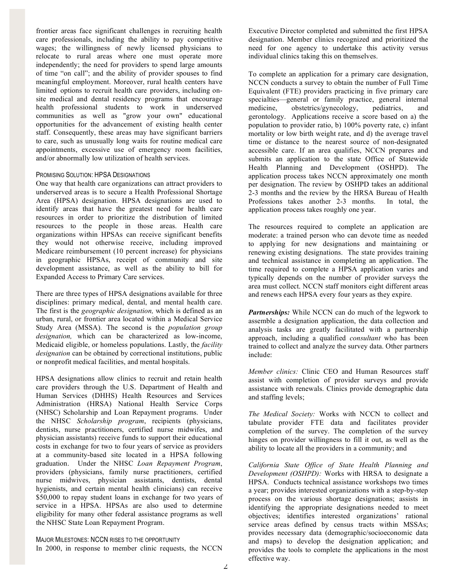frontier areas face significant challenges in recruiting health care professionals, including the ability to pay competitive wages; the willingness of newly licensed physicians to relocate to rural areas where one must operate more independently; the need for providers to spend large amounts of time "on call"; and the ability of provider spouses to find meaningful employment. Moreover, rural health centers have limited options to recruit health care providers, including onsite medical and dental residency programs that encourage health professional students to work in underserved communities as well as "grow your own" educational opportunities for the advancement of existing health center staff. Consequently, these areas may have significant barriers to care, such as unusually long waits for routine medical care appointments, excessive use of emergency room facilities, and/or abnormally low utilization of health services.

#### PROMISING SOLUTION: HPSA DESIGNATIONS

One way that health care organizations can attract providers to underserved areas is to secure a Health Professional Shortage Area (HPSA) designation. HPSA designations are used to identify areas that have the greatest need for health care resources in order to prioritize the distribution of limited resources to the people in those areas. Health care organizations within HPSAs can receive significant benefits they would not otherwise receive, including improved Medicare reimbursement (10 percent increase) for physicians in geographic HPSAs, receipt of community and site development assistance, as well as the ability to bill for Expanded Access to Primary Care services.

There are three types of HPSA designations available for three disciplines: primary medical, dental, and mental health care. The first is the *geographic designation,* which is defined as an urban, rural, or frontier area located within a Medical Service Study Area (MSSA)*.* The second is the *population group designation,* which can be characterized as low-income, Medicaid eligible, or homeless populations. Lastly, the *facility designation* can be obtained by correctional institutions, public or nonprofit medical facilities, and mental hospitals.

HPSA designations allow clinics to recruit and retain health care providers through the U.S. Department of Health and Human Services (DHHS) Health Resources and Services Administration (HRSA) National Health Service Corps (NHSC) Scholarship and Loan Repayment programs. Under the NHSC *Scholarship program*, recipients (physicians, dentists, nurse practitioners, certified nurse midwifes, and physician assistants) receive funds to support their educational costs in exchange for two to four years of service as providers at a community-based site located in a HPSA following graduation. Under the NHSC *Loan Repayment Program*, providers (physicians, family nurse practitioners, certified nurse midwives, physician assistants, dentists, dental hygienists, and certain mental health clinicians) can receive \$50,000 to repay student loans in exchange for two years of service in a HPSA. HPSAs are also used to determine eligibility for many other federal assistance programs as well the NHSC State Loan Repayment Program.

MAJOR MILESTONES: NCCN RISES TO THE OPPORTUNITY In 2000, in response to member clinic requests, the NCCN Executive Director completed and submitted the first HPSA designation. Member clinics recognized and prioritized the need for one agency to undertake this activity versus individual clinics taking this on themselves.

To complete an application for a primary care designation, NCCN conducts a survey to obtain the number of Full Time Equivalent (FTE) providers practicing in five primary care specialties—general or family practice, general internal medicine, obstetrics/gynecology, pediatrics, and gerontology. Applications receive a score based on a) the population to provider ratio, b) 100% poverty rate, c) infant mortality or low birth weight rate, and d) the average travel time or distance to the nearest source of non-designated accessible care. If an area qualifies, NCCN prepares and submits an application to the state Office of Statewide Health Planning and Development (OSHPD). The application process takes NCCN approximately one month per designation. The review by OSHPD takes an additional 2-3 months and the review by the HRSA Bureau of Health Professions takes another 2-3 months. In total, the application process takes roughly one year.

The resources required to complete an application are moderate: a trained person who can devote time as needed to applying for new designations and maintaining or renewing existing designations. The state provides training and technical assistance in completing an application. The time required to complete a HPSA application varies and typically depends on the number of provider surveys the area must collect. NCCN staff monitors eight different areas and renews each HPSA every four years as they expire.

*Partnerships:* While NCCN can do much of the legwork to assemble a designation application, the data collection and analysis tasks are greatly facilitated with a partnership approach, including a qualified *consultant* who has been trained to collect and analyze the survey data. Other partners include:

*Member clinics:* Clinic CEO and Human Resources staff assist with completion of provider surveys and provide assistance with renewals. Clinics provide demographic data and staffing levels;

*The Medical Society:* Works with NCCN to collect and tabulate provider FTE data and facilitates provider completion of the survey. The completion of the survey hinges on provider willingness to fill it out, as well as the ability to locate all the providers in a community; and

*California State Office of State Health Planning and Development (OSHPD):* Works with HRSA to designate a HPSA. Conducts technical assistance workshops two times a year; provides interested organizations with a step-by-step process on the various shortage designations; assists in identifying the appropriate designations needed to meet objectives; identifies interested organizations' rational service areas defined by census tracts within MSSAs; provides necessary data (demographic/socioeconomic data and maps) to develop the designation application; and provides the tools to complete the applications in the most effective way.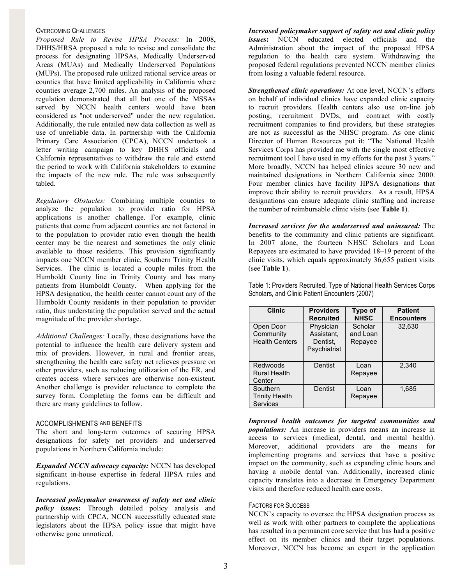#### OVERCOMING CHALLENGES

*Proposed Rule to Revise HPSA Process:* In 2008, DHHS/HRSA proposed a rule to revise and consolidate the process for designating HPSAs, Medically Underserved Areas (MUAs) and Medically Underserved Populations (MUPs). The proposed rule utilized rational service areas or counties that have limited applicability in California where counties average 2,700 miles. An analysis of the proposed regulation demonstrated that all but one of the MSSAs served by NCCN health centers would have been considered as "not underserved" under the new regulation. Additionally, the rule entailed new data collection as well as use of unreliable data. In partnership with the California Primary Care Association (CPCA), NCCN undertook a letter writing campaign to key DHHS officials and California representatives to withdraw the rule and extend the period to work with California stakeholders to examine the impacts of the new rule. The rule was subsequently tabled.

*Regulatory Obstacles:* Combining multiple counties to analyze the population to provider ratio for HPSA applications is another challenge. For example, clinic patients that come from adjacent counties are not factored in to the population to provider ratio even though the health center may be the nearest and sometimes the only clinic available to those residents. This provision significantly impacts one NCCN member clinic, Southern Trinity Health Services. The clinic is located a couple miles from the Humboldt County line in Trinity County and has many patients from Humboldt County. When applying for the HPSA designation, the health center cannot count any of the Humboldt County residents in their population to provider ratio, thus understating the population served and the actual magnitude of the provider shortage.

*Additional Challenges:* Locally, these designations have the potential to influence the health care delivery system and mix of providers. However, in rural and frontier areas, strengthening the health care safety net relieves pressure on other providers, such as reducing utilization of the ER, and creates access where services are otherwise non-existent. Another challenge is provider reluctance to complete the survey form. Completing the forms can be difficult and there are many guidelines to follow.

#### ACCOMPLISHMENTS AND BENEFITS

The short and long-term outcomes of securing HPSA designations for safety net providers and underserved populations in Northern California include:

*Expanded NCCN advocacy capacity:* NCCN has developed significant in-house expertise in federal HPSA rules and regulations.

*Increased policymaker awareness of safety net and clinic policy issues***:** Through detailed policy analysis and partnership with CPCA, NCCN successfully educated state legislators about the HPSA policy issue that might have otherwise gone unnoticed.

*Increased policymaker support of safety net and clinic policy issues***:** NCCN educated elected officials and the Administration about the impact of the proposed HPSA regulation to the health care system. Withdrawing the proposed federal regulations prevented NCCN member clinics from losing a valuable federal resource.

*Strengthened clinic operations:* At one level, NCCN's efforts on behalf of individual clinics have expanded clinic capacity to recruit providers. Health centers also use on-line job posting, recruitment DVDs, and contract with costly recruitment companies to find providers, but these strategies are not as successful as the NHSC program. As one clinic Director of Human Resources put it: "The National Health Services Corps has provided me with the single most effective recruitment tool I have used in my efforts for the past 3 years." More broadly, NCCN has helped clinics secure 30 new and maintained designations in Northern California since 2000. Four member clinics have facility HPSA designations that improve their ability to recruit providers. As a result, HPSA designations can ensure adequate clinic staffing and increase the number of reimbursable clinic visits (see **Table 1**).

*Increased services for the underserved and uninsured:* The benefits to the community and clinic patients are significant. In 2007 alone, the fourteen NHSC Scholars and Loan Repayees are estimated to have provided 18–19 percent of the clinic visits, which equals approximately 36,655 patient visits (see **Table 1**).

Table 1: Providers Recruited, Type of National Health Services Corps Scholars, and Clinic Patient Encounters (2007)

| <b>Clinic</b>                                        | <b>Providers</b><br><b>Recruited</b>                | Type of<br><b>NHSC</b>         | <b>Patient</b><br><b>Encounters</b> |
|------------------------------------------------------|-----------------------------------------------------|--------------------------------|-------------------------------------|
| Open Door<br>Community<br><b>Health Centers</b>      | Physician<br>Assistant.<br>Dentist.<br>Psychiatrist | Scholar<br>and Loan<br>Repayee | 32,630                              |
| Redwoods<br>Rural Health<br>Center                   | Dentist                                             | Loan<br>Repayee                | 2,340                               |
| Southern<br><b>Trinity Health</b><br><b>Services</b> | Dentist                                             | Loan<br>Repayee                | 1.685                               |

*Improved health outcomes for targeted communities and populations:* An increase in providers means an increase in access to services (medical, dental, and mental health). Moreover, additional providers are the means for implementing programs and services that have a positive impact on the community, such as expanding clinic hours and having a mobile dental van. Additionally, increased clinic capacity translates into a decrease in Emergency Department visits and therefore reduced health care costs.

### FACTORS FOR SUCCESS

NCCN's capacity to oversee the HPSA designation process as well as work with other partners to complete the applications has resulted in a permanent core service that has had a positive effect on its member clinics and their target populations. Moreover, NCCN has become an expert in the application